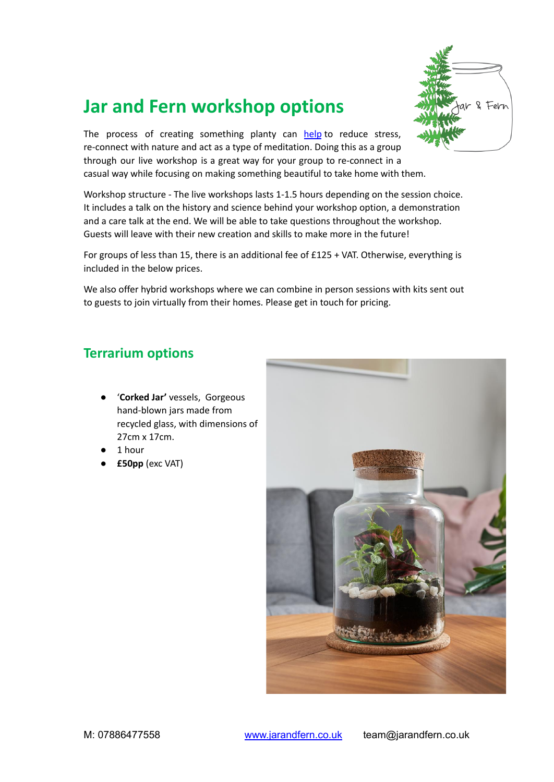

# **Jar and Fern workshop options**

The process of creating something planty can [help](https://journals.sagepub.com/doi/abs/10.4276/030802210X12658062793924) to reduce stress, re-connect with nature and act as a type of meditation. Doing this as a group through our live workshop is a great way for your group to re-connect in a casual way while focusing on making something beautiful to take home with them.

Workshop structure - The live workshops lasts 1-1.5 hours depending on the session choice. It includes a talk on the history and science behind your workshop option, a demonstration and a care talk at the end. We will be able to take questions throughout the workshop. Guests will leave with their new creation and skills to make more in the future!

For groups of less than 15, there is an additional fee of £125 + VAT. Otherwise, everything is included in the below prices.

We also offer hybrid workshops where we can combine in person sessions with kits sent out to guests to join virtually from their homes. Please get in touch for pricing.

#### **Terrarium options**

- '**Corked Jar'** vessels, Gorgeous hand-blown jars made from recycled glass, with dimensions of 27cm x 17cm.
- 1 hour
- **£50pp** (exc VAT)

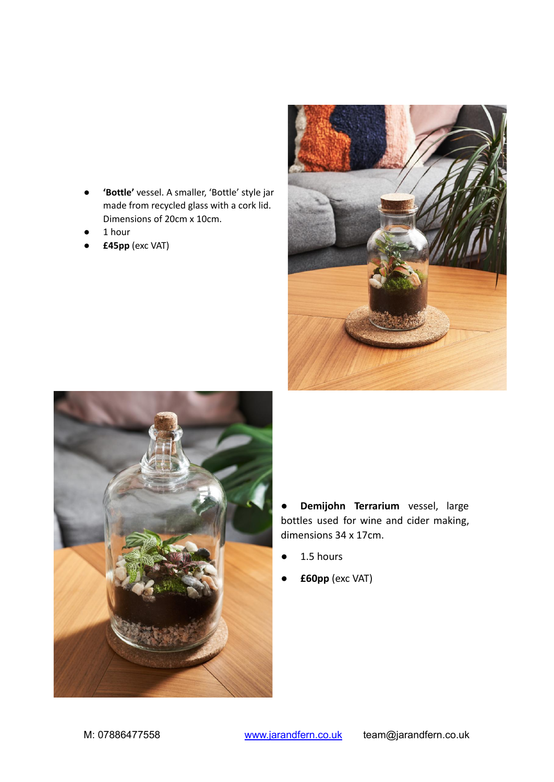- 'Bottle' vessel. A smaller, 'Bottle' style jar made from recycled glass with a cork lid. Dimensions of 20cm x 10cm.
- 1 hour
- **£45pp** (exc VAT)





● **Demijohn Terrarium** vessel, large bottles used for wine and cider making, dimensions 34 x 17cm.

- $\bullet$  1.5 hours
- **£60pp** (exc VAT)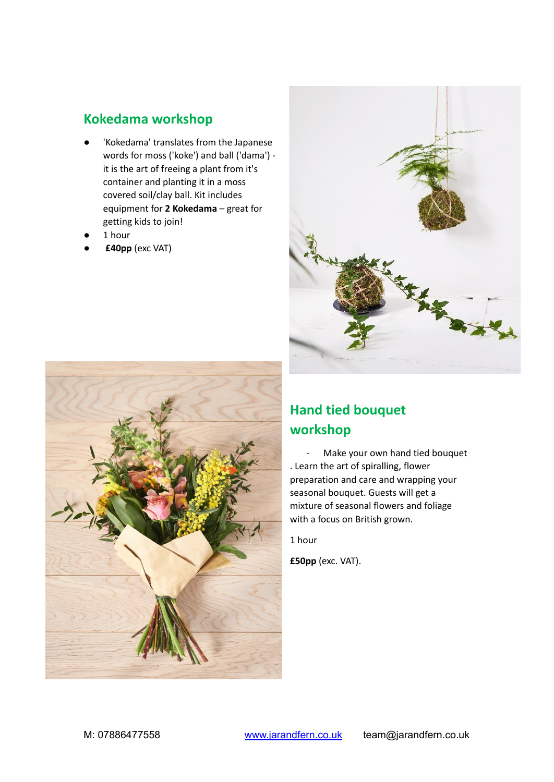### **Kokedama workshop**

- 'Kokedama' translates from the Japanese words for moss ('koke') and ball ('dama') it is the art of freeing a plant from it's container and planting it in a moss covered soil/clay ball. Kit includes equipment for **2 Kokedama** – great for getting kids to join!
- 1 hour
- **£40pp** (exc VAT)





## **Hand tied bouquet workshop**

- Make your own hand tied bouquet . Learn the art of spiralling, flower preparation and care and wrapping your seasonal bouquet. Guests will get a mixture of seasonal flowers and foliage with a focus on British grown.

1 hour

**£50pp** (exc. VAT).